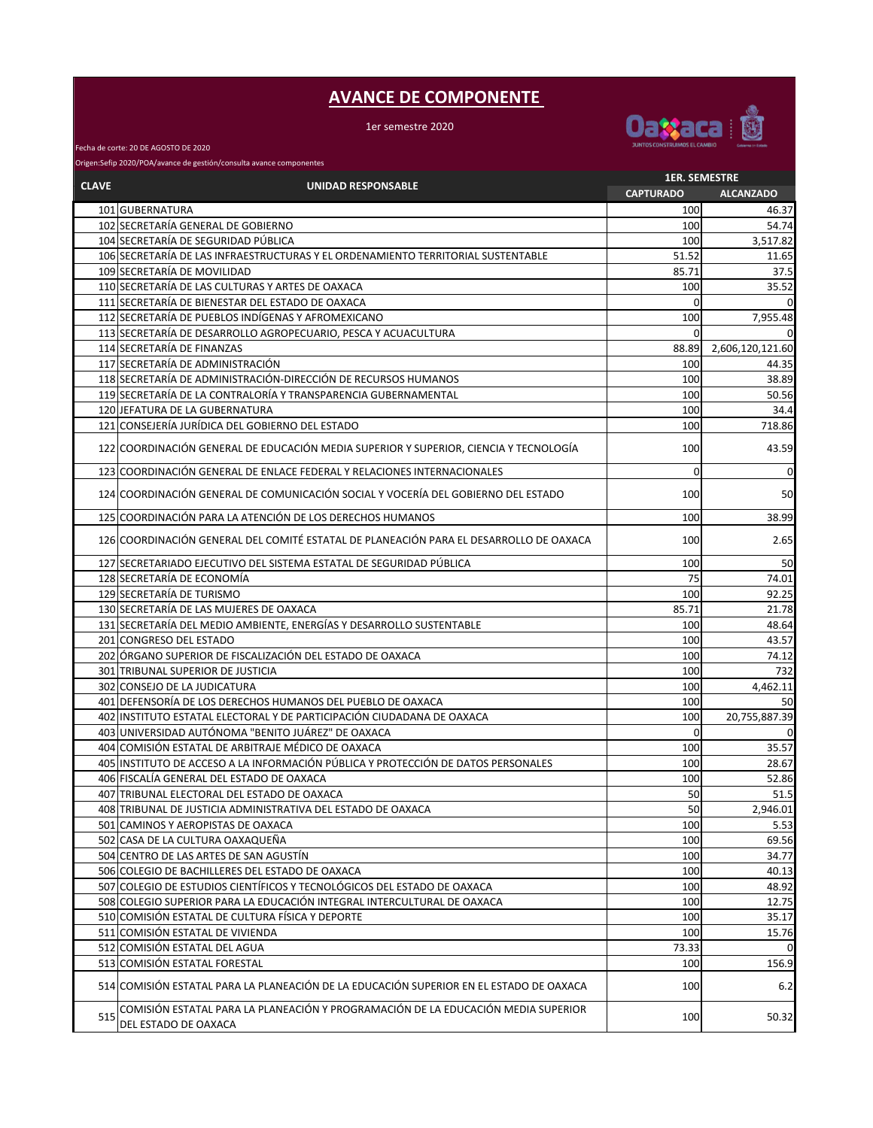## **AVANCE DE COMPONENTE**

1er semestre 2020



Fecha de corte: 20 DE AGOSTO DE 2020

Origen:Sefip 2020/POA/avance de gestión/consulta avance componentes

| <b>CLAVE</b><br><b>UNIDAD RESPONSABLE</b><br>101 GUBERNATURA<br>102 SECRETARÍA GENERAL DE GOBIERNO<br>104 SECRETARÍA DE SEGURIDAD PÚBLICA<br>106 SECRETARÍA DE LAS INFRAESTRUCTURAS Y EL ORDENAMIENTO TERRITORIAL SUSTENTABLE<br>109 SECRETARÍA DE MOVILIDAD | <b>CAPTURADO</b><br>100<br>100<br>100<br>51.52<br>85.71<br>100<br>0 | <b>ALCANZADO</b><br>46.37<br>54.74<br>3,517.82<br>11.65<br>37.5 |
|--------------------------------------------------------------------------------------------------------------------------------------------------------------------------------------------------------------------------------------------------------------|---------------------------------------------------------------------|-----------------------------------------------------------------|
|                                                                                                                                                                                                                                                              |                                                                     |                                                                 |
|                                                                                                                                                                                                                                                              |                                                                     |                                                                 |
|                                                                                                                                                                                                                                                              |                                                                     |                                                                 |
|                                                                                                                                                                                                                                                              |                                                                     |                                                                 |
|                                                                                                                                                                                                                                                              |                                                                     |                                                                 |
|                                                                                                                                                                                                                                                              |                                                                     |                                                                 |
| 110 SECRETARÍA DE LAS CULTURAS Y ARTES DE OAXACA                                                                                                                                                                                                             |                                                                     | 35.52                                                           |
| 111 SECRETARÍA DE BIENESTAR DEL ESTADO DE OAXACA                                                                                                                                                                                                             |                                                                     | $\Omega$                                                        |
| 112 SECRETARÍA DE PUEBLOS INDÍGENAS Y AFROMEXICANO                                                                                                                                                                                                           | 100                                                                 | 7,955.48                                                        |
| 113 SECRETARÍA DE DESARROLLO AGROPECUARIO, PESCA Y ACUACULTURA                                                                                                                                                                                               | $\Omega$                                                            | $\Omega$                                                        |
| 114 SECRETARÍA DE FINANZAS                                                                                                                                                                                                                                   | 88.89                                                               | 2,606,120,121.60                                                |
| 117 SECRETARÍA DE ADMINISTRACIÓN                                                                                                                                                                                                                             | 100                                                                 | 44.35                                                           |
| 118 SECRETARÍA DE ADMINISTRACIÓN-DIRECCIÓN DE RECURSOS HUMANOS                                                                                                                                                                                               | 100                                                                 | 38.89                                                           |
| 119 SECRETARÍA DE LA CONTRALORÍA Y TRANSPARENCIA GUBERNAMENTAL                                                                                                                                                                                               | 100                                                                 | 50.56                                                           |
| 120 JEFATURA DE LA GUBERNATURA                                                                                                                                                                                                                               | 100                                                                 | 34.4                                                            |
| 121 CONSEJERÍA JURÍDICA DEL GOBIERNO DEL ESTADO                                                                                                                                                                                                              | 100                                                                 | 718.86                                                          |
| 122 COORDINACIÓN GENERAL DE EDUCACIÓN MEDIA SUPERIOR Y SUPERIOR, CIENCIA Y TECNOLOGÍA                                                                                                                                                                        | 100                                                                 | 43.59                                                           |
| 123 COORDINACIÓN GENERAL DE ENLACE FEDERAL Y RELACIONES INTERNACIONALES                                                                                                                                                                                      | 0                                                                   | $\overline{0}$                                                  |
| 124 COORDINACIÓN GENERAL DE COMUNICACIÓN SOCIAL Y VOCERÍA DEL GOBIERNO DEL ESTADO                                                                                                                                                                            | 100                                                                 | 50                                                              |
| 125 COORDINACIÓN PARA LA ATENCIÓN DE LOS DERECHOS HUMANOS                                                                                                                                                                                                    | 100                                                                 | 38.99                                                           |
| 126 COORDINACIÓN GENERAL DEL COMITÉ ESTATAL DE PLANEACIÓN PARA EL DESARROLLO DE OAXACA                                                                                                                                                                       | 100                                                                 | 2.65                                                            |
| 127 SECRETARIADO EJECUTIVO DEL SISTEMA ESTATAL DE SEGURIDAD PÚBLICA                                                                                                                                                                                          | 100                                                                 | 50                                                              |
| 128 SECRETARÍA DE ECONOMÍA                                                                                                                                                                                                                                   | 75                                                                  | 74.01                                                           |
| 129 SECRETARÍA DE TURISMO                                                                                                                                                                                                                                    | 100                                                                 | 92.25                                                           |
| 130 SECRETARÍA DE LAS MUJERES DE OAXACA                                                                                                                                                                                                                      | 85.71                                                               | 21.78                                                           |
| 131 SECRETARÍA DEL MEDIO AMBIENTE, ENERGÍAS Y DESARROLLO SUSTENTABLE                                                                                                                                                                                         | 100                                                                 | 48.64                                                           |
| 201 CONGRESO DEL ESTADO                                                                                                                                                                                                                                      | 100                                                                 | 43.57                                                           |
| 202 ÓRGANO SUPERIOR DE FISCALIZACIÓN DEL ESTADO DE OAXACA                                                                                                                                                                                                    | 100                                                                 | 74.12                                                           |
| 301 TRIBUNAL SUPERIOR DE JUSTICIA                                                                                                                                                                                                                            | 100                                                                 | 732                                                             |
| 302 CONSEJO DE LA JUDICATURA                                                                                                                                                                                                                                 | 100                                                                 | 4,462.11                                                        |
| 401 DEFENSORÍA DE LOS DERECHOS HUMANOS DEL PUEBLO DE OAXACA                                                                                                                                                                                                  | 100                                                                 | 50                                                              |
| 402 INSTITUTO ESTATAL ELECTORAL Y DE PARTICIPACIÓN CIUDADANA DE OAXACA                                                                                                                                                                                       | 100                                                                 | 20,755,887.39                                                   |
| 403 UNIVERSIDAD AUTÓNOMA "BENITO JUÁREZ" DE OAXACA                                                                                                                                                                                                           | $\mathbf 0$                                                         | 0                                                               |
| 404 COMISIÓN ESTATAL DE ARBITRAJE MÉDICO DE OAXACA                                                                                                                                                                                                           | 100                                                                 | 35.57                                                           |
| 405 IINSTITUTO DE ACCESO A LA INFORMACIÓN PÚBLICA Y PROTECCIÓN DE DATOS PERSONALES                                                                                                                                                                           | 100                                                                 | 28.67                                                           |
| 406 FISCALÍA GENERAL DEL ESTADO DE OAXACA                                                                                                                                                                                                                    | 100                                                                 | 52.86                                                           |
| 407 TRIBUNAL ELECTORAL DEL ESTADO DE OAXACA                                                                                                                                                                                                                  | 50                                                                  | 51.5                                                            |
| 408 TRIBUNAL DE JUSTICIA ADMINISTRATIVA DEL ESTADO DE OAXACA                                                                                                                                                                                                 | 50                                                                  | 2,946.01                                                        |
| 501 CAMINOS Y AEROPISTAS DE OAXACA                                                                                                                                                                                                                           | 100                                                                 | 5.53                                                            |
| 502 CASA DE LA CULTURA OAXAQUEÑA                                                                                                                                                                                                                             | 100                                                                 | 69.56                                                           |
| 504 CENTRO DE LAS ARTES DE SAN AGUSTÍN                                                                                                                                                                                                                       | 100                                                                 | 34.77                                                           |
| 506 COLEGIO DE BACHILLERES DEL ESTADO DE OAXACA                                                                                                                                                                                                              | 100                                                                 | 40.13                                                           |
| 507 COLEGIO DE ESTUDIOS CIENTÍFICOS Y TECNOLÓGICOS DEL ESTADO DE OAXACA                                                                                                                                                                                      | 100                                                                 | 48.92                                                           |
| 508 COLEGIO SUPERIOR PARA LA EDUCACIÓN INTEGRAL INTERCULTURAL DE OAXACA                                                                                                                                                                                      | 100                                                                 | 12.75                                                           |
| 510 COMISIÓN ESTATAL DE CULTURA FÍSICA Y DEPORTE                                                                                                                                                                                                             | 100                                                                 | 35.17                                                           |
| 511 COMISIÓN ESTATAL DE VIVIENDA                                                                                                                                                                                                                             | 100                                                                 | 15.76                                                           |
| 512 COMISIÓN ESTATAL DEL AGUA                                                                                                                                                                                                                                | 73.33                                                               | $\mathbf 0$                                                     |
| 513 COMISIÓN ESTATAL FORESTAL                                                                                                                                                                                                                                | 100                                                                 | 156.9                                                           |
| 514 COMISIÓN ESTATAL PARA LA PLANEACIÓN DE LA EDUCACIÓN SUPERIOR EN EL ESTADO DE OAXACA                                                                                                                                                                      | 100                                                                 | 6.2                                                             |
| COMISIÓN ESTATAL PARA LA PLANEACIÓN Y PROGRAMACIÓN DE LA EDUCACIÓN MEDIA SUPERIOR<br>515<br>DEL ESTADO DE OAXACA                                                                                                                                             | 100                                                                 | 50.32                                                           |